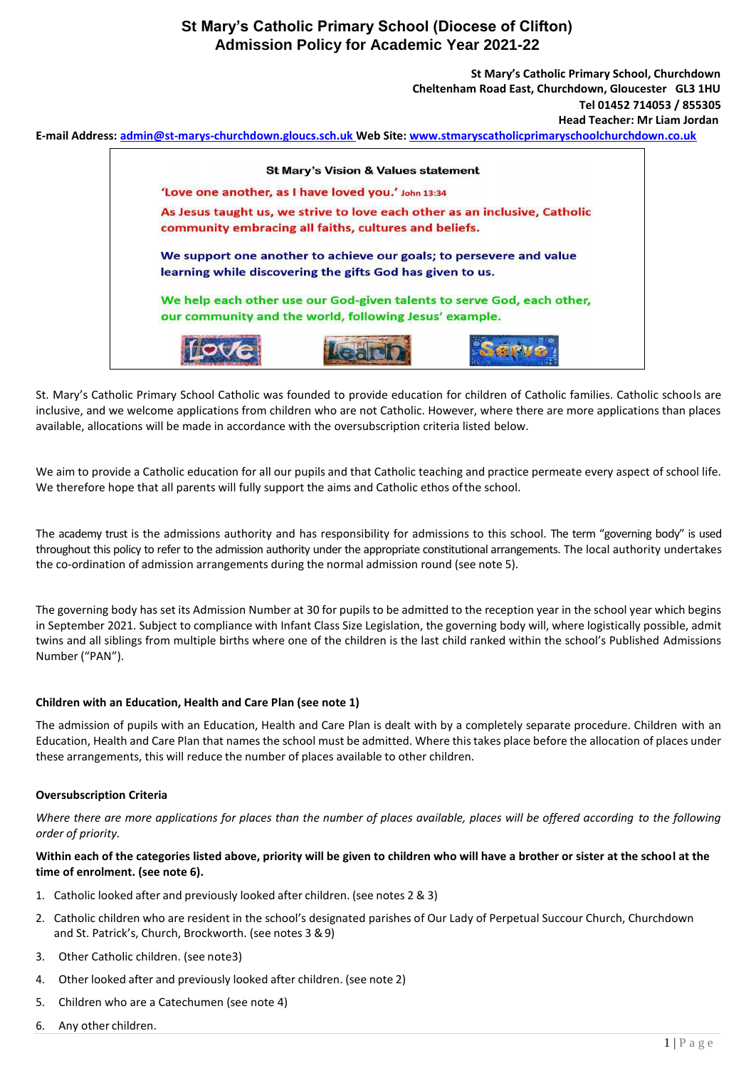

St. Mary's Catholic Primary School Catholic was founded to provide education for children of Catholic families. Catholic schools are inclusive, and we welcome applications from children who are not Catholic. However, where there are more applications than places available, allocations will be made in accordance with the oversubscription criteria listed below.

We aim to provide a Catholic education for all our pupils and that Catholic teaching and practice permeate every aspect of school life. We therefore hope that all parents will fully support the aims and Catholic ethos ofthe school.

The academy trust is the admissions authority and has responsibility for admissions to this school. The term "governing body" is used throughout this policy to refer to the admission authority under the appropriate constitutional arrangements. The local authority undertakes the co-ordination of admission arrangements during the normal admission round (see note 5).

The governing body has set its Admission Number at 30 for pupilsto be admitted to the reception year in the school year which begins in September 2021. Subject to compliance with Infant Class Size Legislation, the governing body will, where logistically possible, admit twins and all siblings from multiple births where one of the children is the last child ranked within the school's Published Admissions Number ("PAN").

#### **Children with an Education, Health and Care Plan (see note 1)**

The admission of pupils with an Education, Health and Care Plan is dealt with by a completely separate procedure. Children with an Education, Health and Care Plan that namesthe school must be admitted. Where thistakes place before the allocation of places under these arrangements, this will reduce the number of places available to other children.

#### **Oversubscription Criteria**

*Where there are more applications for places than the number of places available, places will be offered according to the following order of priority.*

### **Within each of the categories listed above, priority will be given to children who will have a brother or sister at the school at the time of enrolment. (see note 6).**

- 1. Catholic looked after and previously looked after children. (see notes 2 & 3)
- 2. Catholic children who are resident in the school's designated parishes of Our Lady of Perpetual Succour Church, Churchdown and St. Patrick's, Church, Brockworth. (see notes 3 &9)
- 3. Other Catholic children. (see note3)
- 4. Other looked after and previously looked after children. (see note 2)
- 5. Children who are a Catechumen (see note 4)
- 6. Any other children.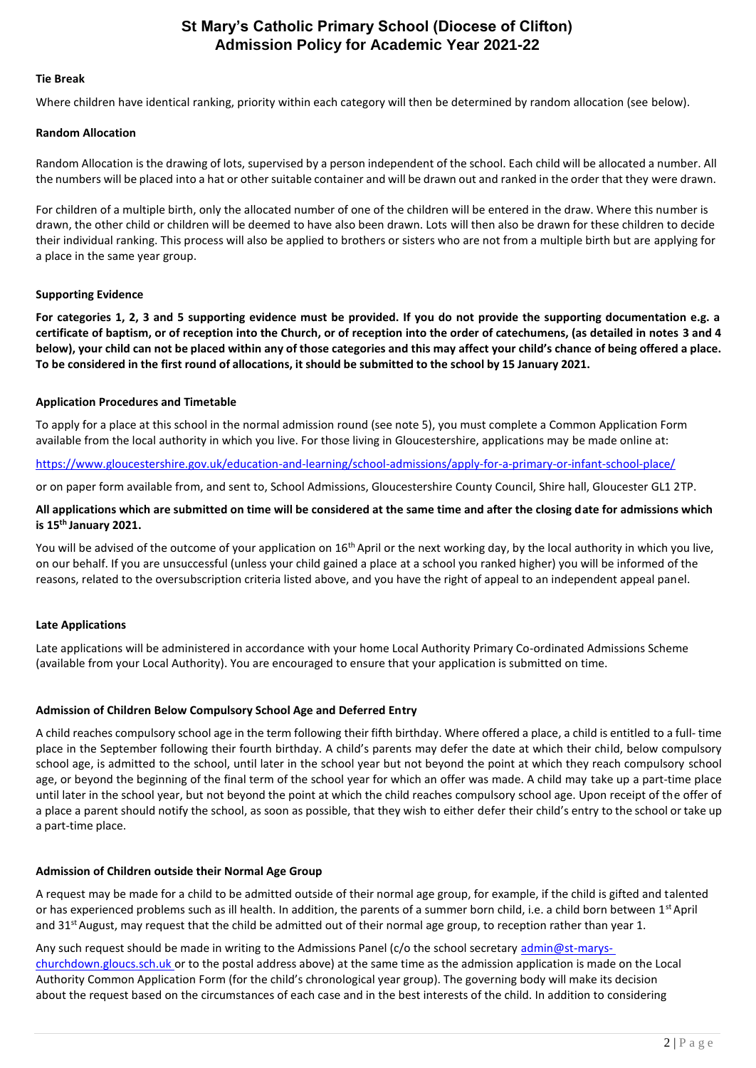#### **Tie Break**

Where children have identical ranking, priority within each category will then be determined by random allocation (see below).

#### **Random Allocation**

Random Allocation is the drawing of lots, supervised by a person independent of the school. Each child will be allocated a number. All the numbers will be placed into a hat or other suitable container and will be drawn out and ranked in the order that they were drawn.

For children of a multiple birth, only the allocated number of one of the children will be entered in the draw. Where this number is drawn, the other child or children will be deemed to have also been drawn. Lots will then also be drawn for these children to decide their individual ranking. This process will also be applied to brothers or sisters who are not from a multiple birth but are applying for a place in the same year group.

#### **Supporting Evidence**

**For categories 1, 2, 3 and 5 supporting evidence must be provided. If you do not provide the supporting documentation e.g. a certificate of baptism, or of reception into the Church, or of reception into the order of catechumens, (as detailed in notes 3 and 4**  below), your child can not be placed within any of those categories and this may affect your child's chance of being offered a place. To be considered in the first round of allocations, it should be submitted to the school by 15 January 2021.

#### **Application Procedures and Timetable**

To apply for a place at this school in the normal admission round (see note 5), you must complete a Common Application Form available from the local authority in which you live. For those living in Gloucestershire, applications may be made online at:

<https://www.gloucestershire.gov.uk/education-and-learning/school-admissions/apply-for-a-primary-or-infant-school-place/>

or on paper form available from, and sent to, School Admissions, Gloucestershire County Council, Shire hall, Gloucester GL1 2TP.

#### **All applications which are submitted on time will be considered at the same time and after the closing date for admissions which is 15th January 2021.**

You will be advised of the outcome of your application on 16<sup>th</sup> April or the next working day, by the local authority in which you live, on our behalf. If you are unsuccessful (unless your child gained a place at a school you ranked higher) you will be informed of the reasons, related to the oversubscription criteria listed above, and you have the right of appeal to an independent appeal panel.

#### **Late Applications**

Late applications will be administered in accordance with your home Local Authority Primary Co-ordinated Admissions Scheme (available from your Local Authority). You are encouraged to ensure that your application is submitted on time.

#### **Admission of Children Below Compulsory School Age and Deferred Entry**

A child reaches compulsory school age in the term following their fifth birthday. Where offered a place, a child is entitled to a full- time place in the September following their fourth birthday. A child's parents may defer the date at which their child, below compulsory school age, is admitted to the school, until later in the school year but not beyond the point at which they reach compulsory school age, or beyond the beginning of the final term of the school year for which an offer was made. A child may take up a part-time place until later in the school year, but not beyond the point at which the child reaches compulsory school age. Upon receipt of the offer of a place a parent should notify the school, as soon as possible, that they wish to either defer their child's entry to the school or take up a part-time place.

#### **Admission of Children outside their Normal Age Group**

A request may be made for a child to be admitted outside of their normal age group, for example, if the child is gifted and talented or has experienced problems such as ill health. In addition, the parents of a summer born child, i.e. a child born between 1<sup>st</sup> April and  $31$ <sup>st</sup> August, may request that the child be admitted out of their normal age group, to reception rather than year 1.

Any such request should be made in writing to the Admissions Panel (c/o the school secretary admin@st-maryschurchdown.gloucs.sch.uk or to the postal address above) at the same time as the admission application is made on the Local Authority Common Application Form (for the child's chronological year group). The governing body will make its decision about the request based on the circumstances of each case and in the best interests of the child. In addition to considering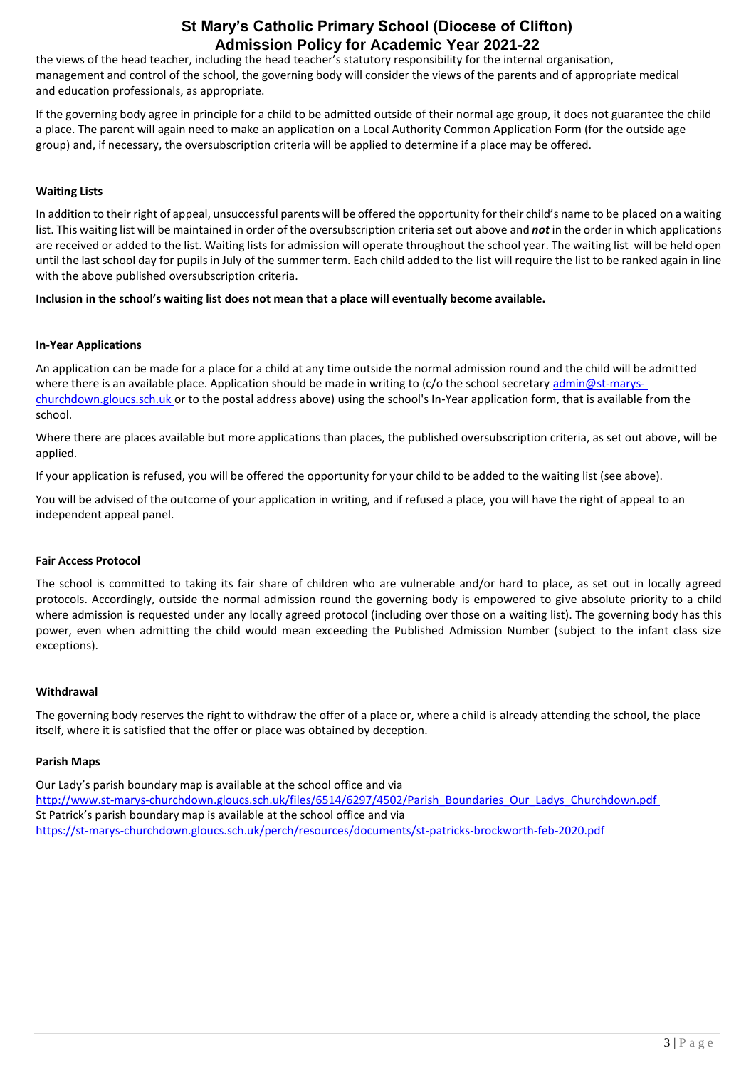the views of the head teacher, including the head teacher's statutory responsibility for the internal organisation, management and control of the school, the governing body will consider the views of the parents and of appropriate medical and education professionals, as appropriate.

If the governing body agree in principle for a child to be admitted outside of their normal age group, it does not guarantee the child a place. The parent will again need to make an application on a Local Authority Common Application Form (for the outside age group) and, if necessary, the oversubscription criteria will be applied to determine if a place may be offered.

### **Waiting Lists**

In addition to their right of appeal, unsuccessful parents will be offered the opportunity for their child's name to be placed on a waiting list. This waiting list will be maintained in order of the oversubscription criteria set out above and *not* in the order in which applications are received or added to the list. Waiting lists for admission will operate throughout the school year. The waiting list will be held open until the last school day for pupils in July of the summer term. Each child added to the list will require the list to be ranked again in line with the above published oversubscription criteria.

**Inclusion in the school's waiting list does not mean that a place will eventually become available.**

#### **In-Year Applications**

An application can be made for a place for a child at any time outside the normal admission round and the child will be admitted where there is an available place. Application should be made in writing to ( $c$ /o the school secretary [admin@st-marys](mailto:admin@st-marys-churchdown.gloucs.sch.uk)[churchdown.gloucs.sch.uk](mailto:admin@st-marys-churchdown.gloucs.sch.uk) or to the postal address above) using the school's In-Year application form, that is available from the school.

Where there are places available but more applications than places, the published oversubscription criteria, as set out above, will be applied.

If your application is refused, you will be offered the opportunity for your child to be added to the waiting list (see above).

You will be advised of the outcome of your application in writing, and if refused a place, you will have the right of appeal to an independent appeal panel.

#### **Fair Access Protocol**

The school is committed to taking its fair share of children who are vulnerable and/or hard to place, as set out in locally agreed protocols. Accordingly, outside the normal admission round the governing body is empowered to give absolute priority to a child where admission is requested under any locally agreed protocol (including over those on a waiting list). The governing body has this power, even when admitting the child would mean exceeding the Published Admission Number (subject to the infant class size exceptions).

#### **Withdrawal**

The governing body reserves the right to withdraw the offer of a place or, where a child is already attending the school, the place itself, where it is satisfied that the offer or place was obtained by deception.

#### **Parish Maps**

[Our Lady's parish boundary map is available at the school office and via](http://www.st-marys-churchdown.gloucs.sch.uk/files/6514/6297/4502/Parish_Boundaries_Our_Ladys_Churchdown.pdf) [http://www.st-marys-churchdown.gloucs.sch.uk/files/6514/6297/4502/Parish\\_Boundaries\\_Our\\_Ladys\\_Churchdown.pdf](http://www.st-marys-churchdown.gloucs.sch.uk/files/6514/6297/4502/Parish_Boundaries_Our_Ladys_Churchdown.pdf) St Patrick's parish boundary map is available at the school office and via <https://st-marys-churchdown.gloucs.sch.uk/perch/resources/documents/st-patricks-brockworth-feb-2020.pdf>